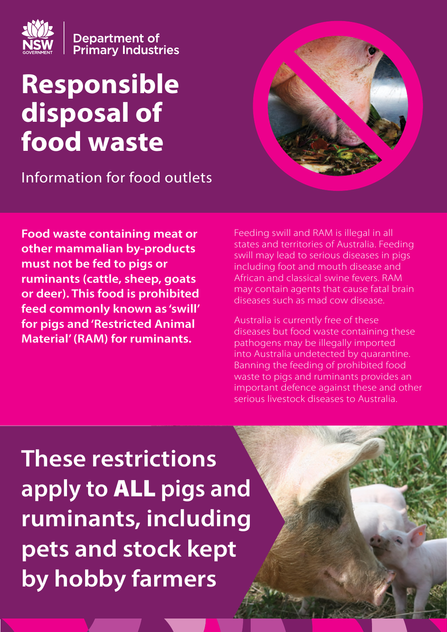

**Department of<br>Primary Industries** 

# **Responsible disposal of food waste**

Information for food outlets

**Food waste containing meat or other mammalian by-products must not be fed to pigs or ruminants (cattle, sheep, goats or deer). This food is prohibited feed commonly known as 'swill' for pigs and 'Restricted Animal Material' (RAM) for ruminants.** 



Feeding swill and RAM is illegal in all states and territories of Australia. Feeding swill may lead to serious diseases in pigs including foot and mouth disease and African and classical swine fevers. RAM may contain agents that cause fatal brain diseases such as mad cow disease.

Australia is currently free of these diseases but food waste containing these pathogens may be illegally imported into Australia undetected by quarantine. Banning the feeding of prohibited food waste to pigs and ruminants provides an important defence against these and other serious livestock diseases to Australia.

**These restrictions apply to** ALL **pigs and ruminants, including pets and stock kept by hobby farmers**